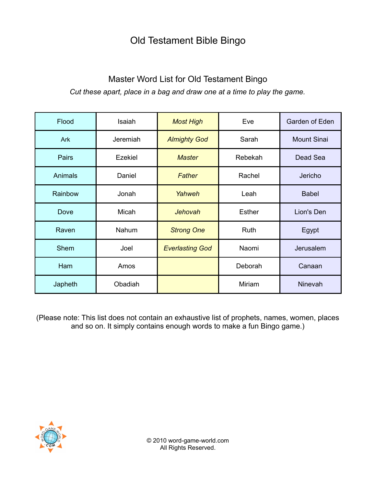## Old Testament Bible Bingo

## Master Word List for Old Testament Bingo *Cut these apart, place in a bag and draw one at a time to play the game.*

| Flood          | Isaiah   | <b>Most High</b>       | Eve           | Garden of Eden     |
|----------------|----------|------------------------|---------------|--------------------|
| Ark            | Jeremiah | <b>Almighty God</b>    | Sarah         | <b>Mount Sinai</b> |
| <b>Pairs</b>   | Ezekiel  | <b>Master</b>          | Rebekah       | Dead Sea           |
| <b>Animals</b> | Daniel   | Father                 | Rachel        | Jericho            |
| Rainbow        | Jonah    | Yahweh                 | Leah          | <b>Babel</b>       |
| <b>Dove</b>    | Micah    | <b>Jehovah</b>         | <b>Esther</b> | Lion's Den         |
| Raven          | Nahum    | <b>Strong One</b>      | Ruth          | Egypt              |
| Shem           | Joel     | <b>Everlasting God</b> | Naomi         | Jerusalem          |
| Ham            | Amos     |                        | Deborah       | Canaan             |
| Japheth        | Obadiah  |                        | Miriam        | Ninevah            |

(Please note: This list does not contain an exhaustive list of prophets, names, women, places and so on. It simply contains enough words to make a fun Bingo game.)

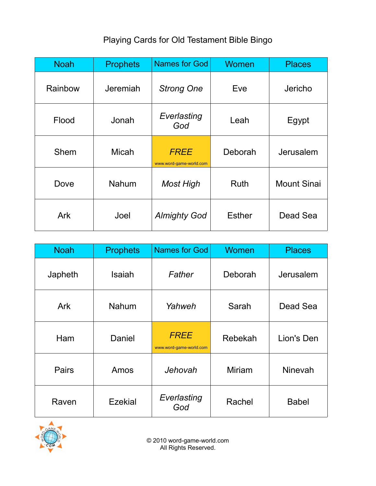## Playing Cards for Old Testament Bible Bingo

| <b>Noah</b> | <b>Prophets</b> | <b>Names for God</b>                   | Women         | <b>Places</b>      |
|-------------|-----------------|----------------------------------------|---------------|--------------------|
| Rainbow     | Jeremiah        | <b>Strong One</b>                      | Eve           | Jericho            |
| Flood       | Jonah           | Everlasting<br>God                     | Leah          | Egypt              |
| Shem        | <b>Micah</b>    | <b>FREE</b><br>www.word-game-world.com | Deborah       | Jerusalem          |
| Dove        | Nahum           | <b>Most High</b>                       | <b>Ruth</b>   | <b>Mount Sinai</b> |
| Ark         | Joel            | <b>Almighty God</b>                    | <b>Esther</b> | Dead Sea           |

| <b>Noah</b> | <b>Prophets</b> | <b>Names for God</b>                   | Women   | <b>Places</b>  |
|-------------|-----------------|----------------------------------------|---------|----------------|
| Japheth     | Isaiah          | Father                                 | Deborah | Jerusalem      |
| <b>Ark</b>  | <b>Nahum</b>    | Yahweh                                 | Sarah   | Dead Sea       |
| Ham         | Daniel          | <b>FREE</b><br>www.word-game-world.com | Rebekah | Lion's Den     |
| Pairs       | Amos            | Jehovah                                | Miriam  | <b>Ninevah</b> |
| Raven       | Ezekial         | Everlasting<br>God                     | Rachel  | <b>Babel</b>   |



© 2010 word-game-world.com All Rights Reserved.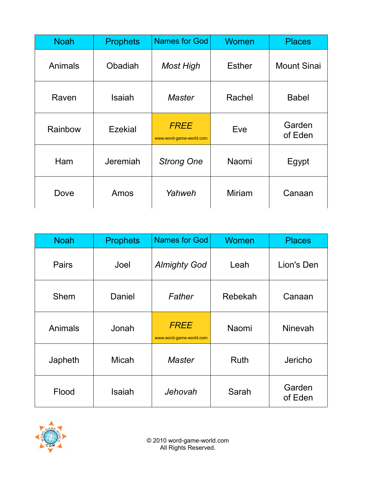| <b>Noah</b> | <b>Prophets</b> | Names for God                          | Women         | <b>Places</b>      |
|-------------|-----------------|----------------------------------------|---------------|--------------------|
| Animals     | Obadiah         | <b>Most High</b>                       | <b>Esther</b> | <b>Mount Sinai</b> |
| Raven       | Isaiah          | Master                                 | Rachel        | <b>Babel</b>       |
| Rainbow     | Ezekial         | <b>FREE</b><br>www.word-game-world.com | Eve           | Garden<br>of Eden  |
| Ham         | Jeremiah        | <b>Strong One</b>                      | Naomi         | Egypt              |
| Dove        | Amos            | Yahweh                                 | <b>Miriam</b> | Canaan             |

| <b>Noah</b> | <b>Prophets</b> | <b>Names for God</b>                   | Women       | <b>Places</b>     |
|-------------|-----------------|----------------------------------------|-------------|-------------------|
| Pairs       | Joel            | <b>Almighty God</b>                    | Leah        | Lion's Den        |
| Shem        | Daniel          | Father                                 | Rebekah     | Canaan            |
| Animals     | Jonah           | <b>FREE</b><br>www.word-game-world.com | Naomi       | <b>Ninevah</b>    |
| Japheth     | <b>Micah</b>    | <b>Master</b>                          | <b>Ruth</b> | Jericho           |
| Flood       | Isaiah          | Jehovah                                | Sarah       | Garden<br>of Eden |



© 2010 word-game-world.com All Rights Reserved.